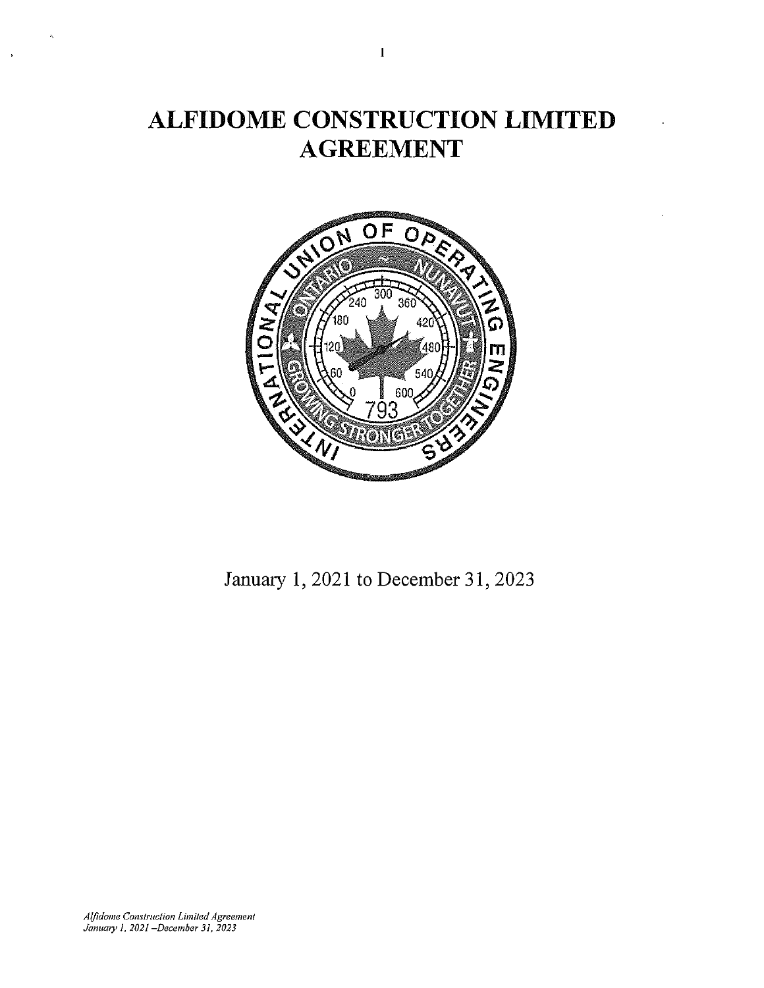# **ALFIDOME CONSTRUCTION LIMITED AGREEMENT**



January 1, 2021 to December 31, 2023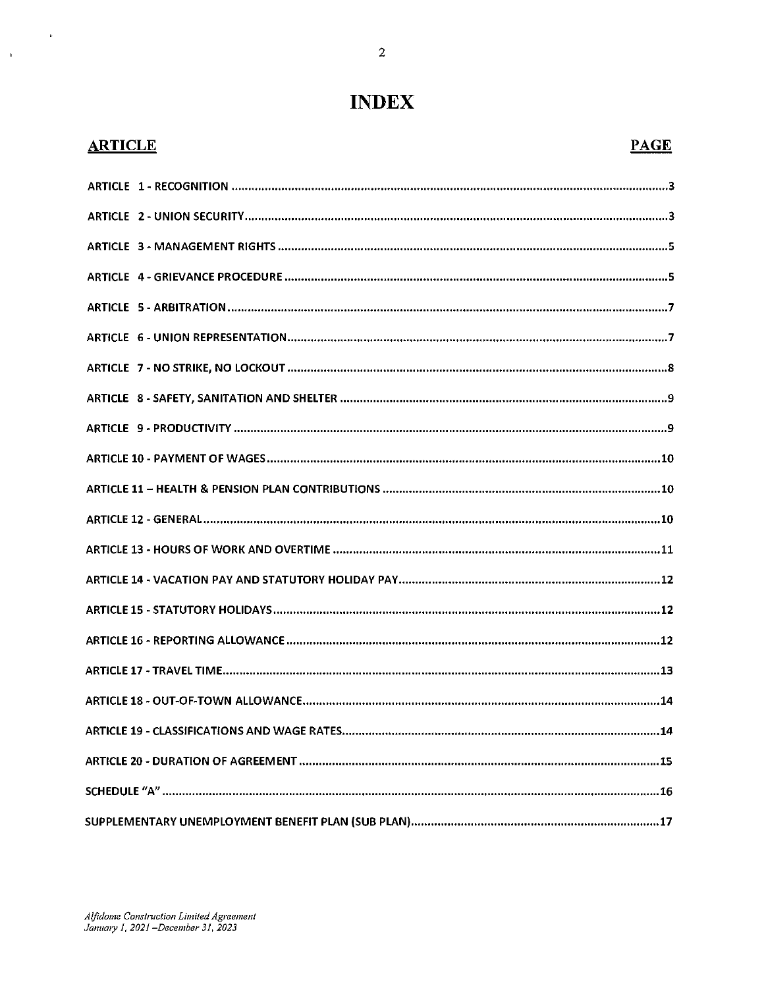## **INDEX**

## **ARTICLE** PAGE

 $\bar{\mathbf{r}}$ 

 $\mathbf{u}$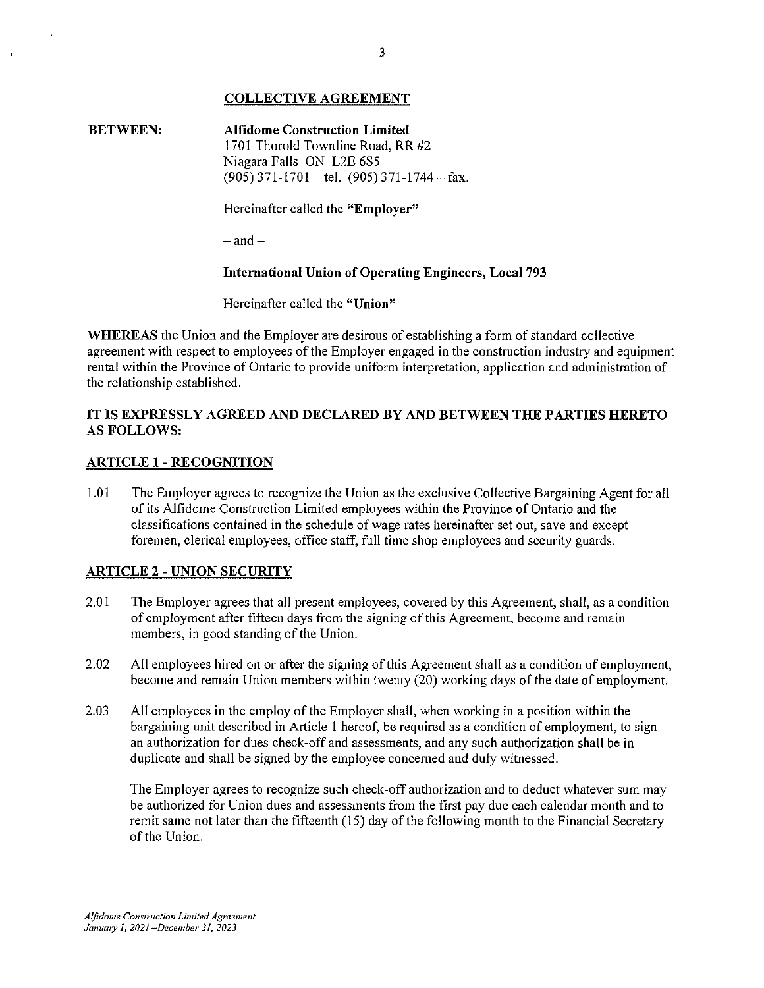## **COLLECTIVE AGREEMENT**

**BETWEEN: Alfidome Construction Limited**  1701 Thorold Townline Road, RR #2 Niagara Falls ON L2E 6S5  $(905)$  371-1701 - tel.  $(905)$  371-1744 - fax.

Hereinafter called the **"Employer"** 

 $-$ and $-$ 

## **International Union of Operating Engineers, Local** 793

Hereinafter called the **"Union"** 

**WHEREAS** the Union and the Employer are desirous of establishing a form of standard collective agreement with respect to employees of the Employer engaged in the construction industry and equipment rental within the Province of Ontario to provide uniform interpretation, application and administration of the relationship established.

## **IT IS EXPRESSLY AGREED AND DECLARED BY AND BETWEEN THE PARTIES HERETO**  AS **FOLLOWS:**

### **ARTICLE 1 - RECOGNITION**

1.01 The Employer agrees to recognize the Union as the exclusive Collective Bargaining Agent for all of its Alfidome Construction Limited employees within the Province of Ontario and the classifications contained in the schedule of wage rates hereinafter set out, save and except foremen, clerical employees, office staff, full time shop employees and security guards.

## **ARTICLE 2 - UNION SECURITY**

- 2.01 The Employer agrees that all present employees, covered by this Agreement, shall, as a condition of employment after fifteen days from the signing of this Agreement, become and remain members, in good standing of the Union.
- 2.02 All employees hired on or after the signing of this Agreement shall as a condition of employment, become and remain Union members within twenty (20) working days of the date of employment.
- 2.03 All employees in the employ of the Employer shall, when working in a position within the bargaining unit described in Article l hereof, be required as a condition of employment, to sign an authorization for dues check-off and assessments, and any such authorization shall be in duplicate and shall be signed by the employee concerned and duly witnessed.

The Employer agrees to recognize such check-off authorization and to deduct whatever sum may be authorized for Union dues and assessments from the first pay due each calendar month and to remit same not later than the fifteenth (15) day of the following month to the Financial Secretaiy of the Union.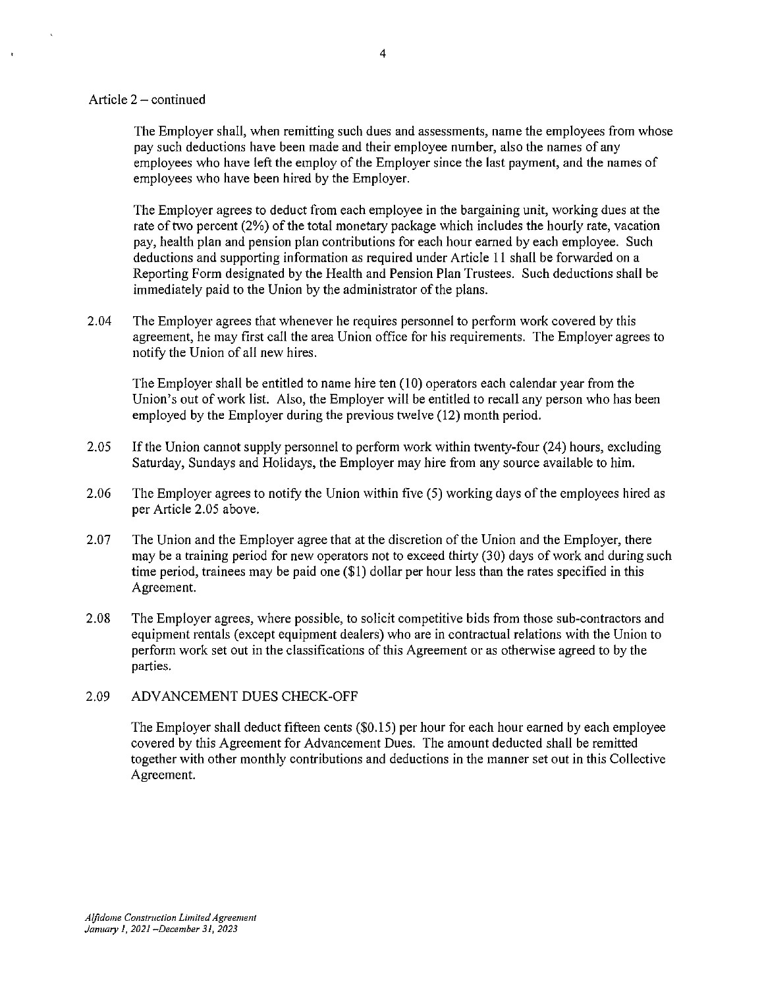#### Article  $2 -$  continued

The Employer shall, when remitting such dues and assessments, name the employees from whose pay such deductions have been made and their employee number, also the names of any employees who have left the employ of the Employer since the last payment, and the names of employees who have been hired by the Employer.

The Employer agrees to deduct from each employee in the bargaining unit, working dues at the rate of two percent (2%) of the total monetary package which includes the hourly rate, vacation pay, health plan and pension plan contributions for each hour earned by each employee. Such deductions and supporting information as required under Article 11 shall be forwarded on a Reporting Form designated by the Health and Pension Plan Trustees. Such deductions shall be immediately paid to the Union by the administrator of the plans.

2.04 The Employer agrees that whenever he requires personnel to perform work covered by this agreement, he may first call the area Union office for his requirements. The Employer agrees to notify the Union of all new hires.

The Employer shall be entitled to name hire ten (10) operators each calendar year from the Union's out of work list. Also, the Employer will be entitled to recall any person who has been employed by the Employer during the previous twelve (12) month period.

- 2.05 If the Union cannot supply personnel to perform work within twenty-four (24) hours, excluding Saturday, Sundays and Holidays, the Employer may hire from any source available to him.
- 2.06 The Employer agrees to notify the Union within five (5) working days of the employees hired as per Article 2.05 above.
- 2.07 The Union and the Employer agree that at the discretion of the Union and the Employer, there may be a training period for new operators not to exceed thirty (30) days of work and during such time period, trainees may be paid one (\$1) dollar per hour less than the rates specified in this Agreement.
- 2.08 The Employer agrees, where possible, to solicit competitive bids from those sub-contractors and equipment rentals (except equipment dealers) who are in contractual relations with the Union to perform work set out in the classifications of this Agreement or as otherwise agreed to by the parties.

#### 2.09 ADVANCEMENT DUES CHECK-OFF

The Employer shall deduct fifteen cents (\$0.15) per hour for each hour earned by each employee covered by this Agreement for Advancement Dues. The amount deducted shall be remitted together with other monthly contributions and deductions in the manner set out in this Collective Agreement.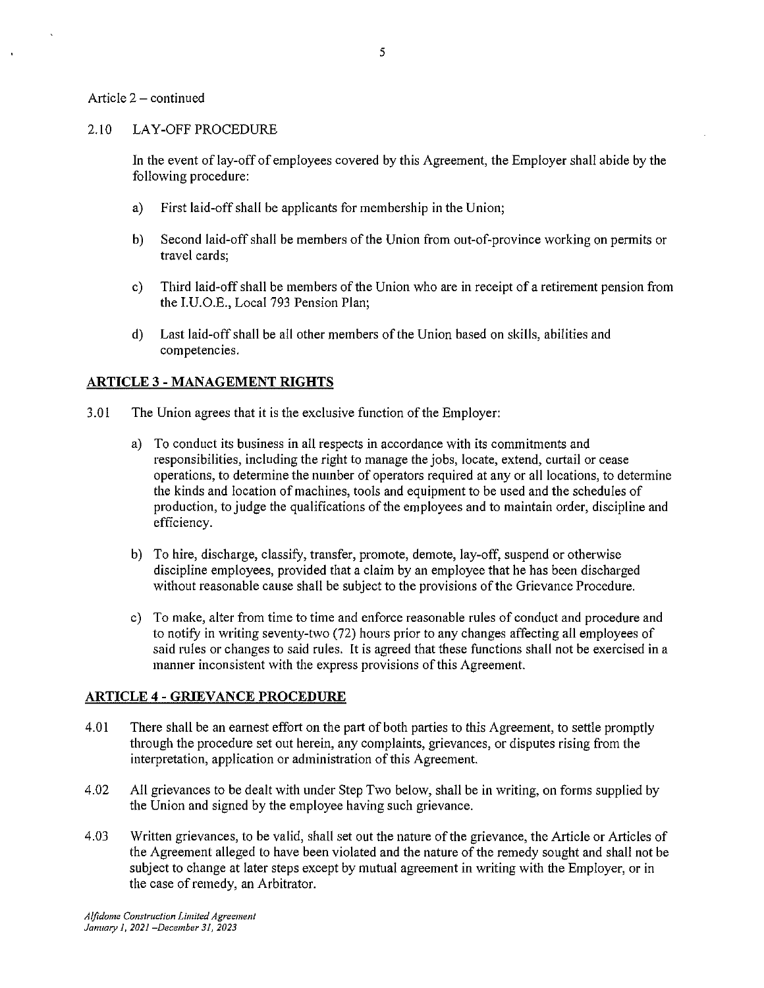#### Article  $2 -$  continued

#### 2.10 LAY-OFF PROCEDURE

In the event of lay-off of employees covered by this Agreement, the Employer shall abide by the following procedure:

- a) First laid-off shall be applicants for membership in the Union;
- b) Second laid-off shall be members of the Union from out-of-province working on permits or travel cards;
- c) Third laid-off shall be members of the Union who are in receipt of a retirement pension from the I.U.O.E., Local 793 Pension Plan;
- d) Last laid-off shall be all other members of the Union based on skills, abilities and competencies.

## **ARTICLE** 3 - **MANAGEMENT RIGHTS**

- 3.01 The Union agrees that it is the exclusive function of the Employer:
	- a) To conduct its business in all respects in accordance with its commitments and responsibilities, including the right to manage the jobs, locate, extend, curtail or cease operations, to determine the number of operators required at any or all locations, to determine the kinds and location of machines, tools and equipment to be used and the schedules of production, to judge the qualifications of the employees and to maintain order, discipline and efficiency.
	- b) To hire, discharge, classify, transfer, promote, demote, lay-off, suspend or otherwise discipline employees, provided that a claim by an employee that he has been discharged without reasonable cause shall be subject to the provisions of the Grievance Procedure.
	- c) To make, alter from time to time and enforce reasonable rules of conduct and procedure and to notify in writing seventy-two (72) hours prior to any changes affecting all employees of said rules or changes to said rules. It is agreed that these functions shall not be exercised in a manner inconsistent with the express provisions of this Agreement.

## **ARTICLE 4 - GRIEVANCE PROCEDURE**

- 4.01 There shall be an earnest effort on the part of both parties to this Agreement, to settle promptly through the procedure set out herein, any complaints, grievances, or disputes rising from the interpretation, application or administration of this Agreement.
- 4.02 All grievances to be dealt with under Step Two below, shall be in writing, on forms supplied by the Union and signed by the employee having such grievance.
- 4.03 Written grievances, to be valid, shall set out the nature of the grievance, the Article or Articles of the Agreement alleged to have been violated and the nature of the remedy sought and shall not be subject to change at later steps except by mutual agreement in writing with the Employer, or in the case of remedy, an Arbitrator.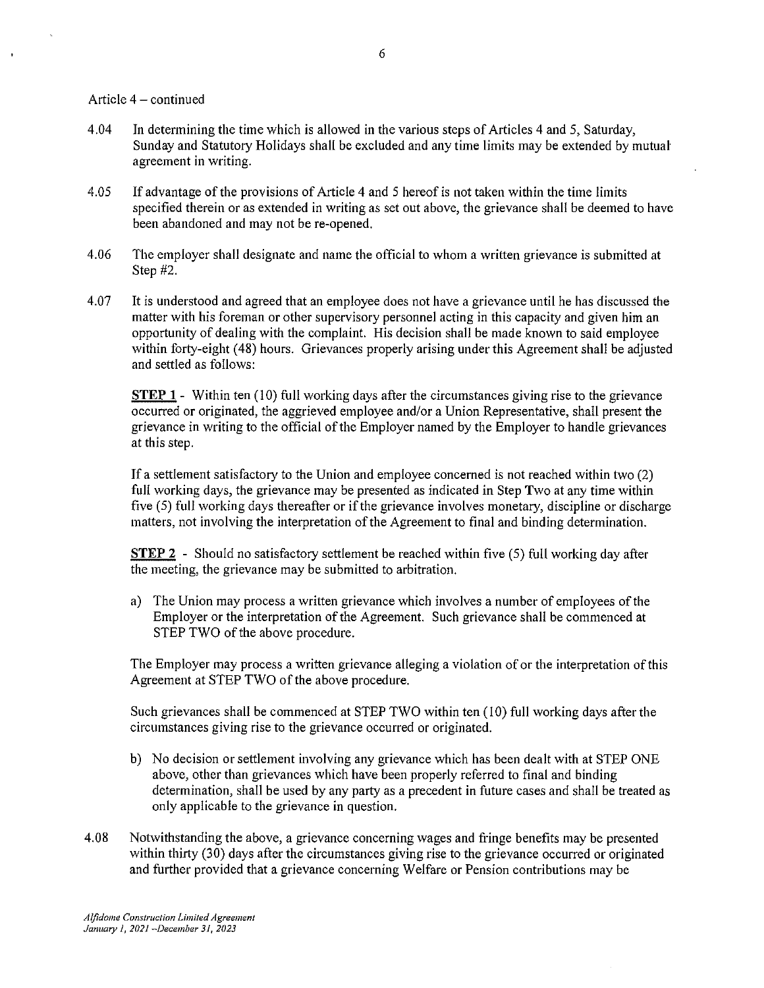#### Article  $4 -$ continued

- 4.04 In determining the time which is allowed in the various steps of Articles 4 and 5, Saturday, Sunday and Statutory Holidays shall be excluded and any time limits may be extended by mutual agreement in writing.
- 4.05 If advantage of the provisions of Article 4 and 5 hereof is not taken within the time limits specified therein or as extended in writing as set out above, the grievance shall be deemed to have been abandoned and may not be re-opened.
- 4.06 The employer shall designate and name the official to whom a written grievance is submitted at Step #2.
- 4.07 It is understood and agreed that an employee does not have a grievance until he has discussed the matter with his foreman or other supervisory personnel acting in this capacity and given him an opportunity of dealing with the complaint. His decision shall be made known to said employee within forty-eight ( 48) hours. Grievances properly arising under this Agreement shall be adjusted and settled as follows:

**STEP 1** - Within ten (10) full working days after the circumstances giving rise to the grievance occurred or originated, the aggrieved employee and/or a Union Representative, shall present the grievance in writing to the official of the Employer named by the Employer to handle grievances at this step.

If a settlement satisfactory to the Union and employee concerned is not reached within two (2) full working days, the grievance may be presented as indicated in Step Two at any time within five (5) full working days thereafter or ifthe grievance involves monetary, discipline or discharge matters, not involving the interpretation of the Agreement to final and binding determination.

**STEP 2** - Should no satisfactory settlement be reached within five (5) full working day after the meeting, the grievance may be submitted to arbitration.

a) The Union may process a written grievance which involves a number of employees of the Employer or the interpretation of the Agreement. Such grievance shall be commenced at STEP TWO of the above procedure.

The Employer may process a written grievance alleging a violation of or the interpretation of this Agreement at STEP TWO of the above procedure.

Such grievances shall be commenced at STEP TWO within ten (10) full working days after the circumstances giving rise to the grievance occurred or originated.

- b) No decision or settlement involving any grievance which has been dealt with at STEP ONE above, other than grievances which have been properly referred to final and binding determination, shall be used by any party as a precedent in future cases and shall be treated as only applicable to the grievance in question.
- 4.08 Notwithstanding the above, a grievance concerning wages and fringe benefits may be presented within thirty (30) days after the circumstances giving rise to the grievance occurred or originated and further provided that a grievance concerning Welfare or Pension contributions may be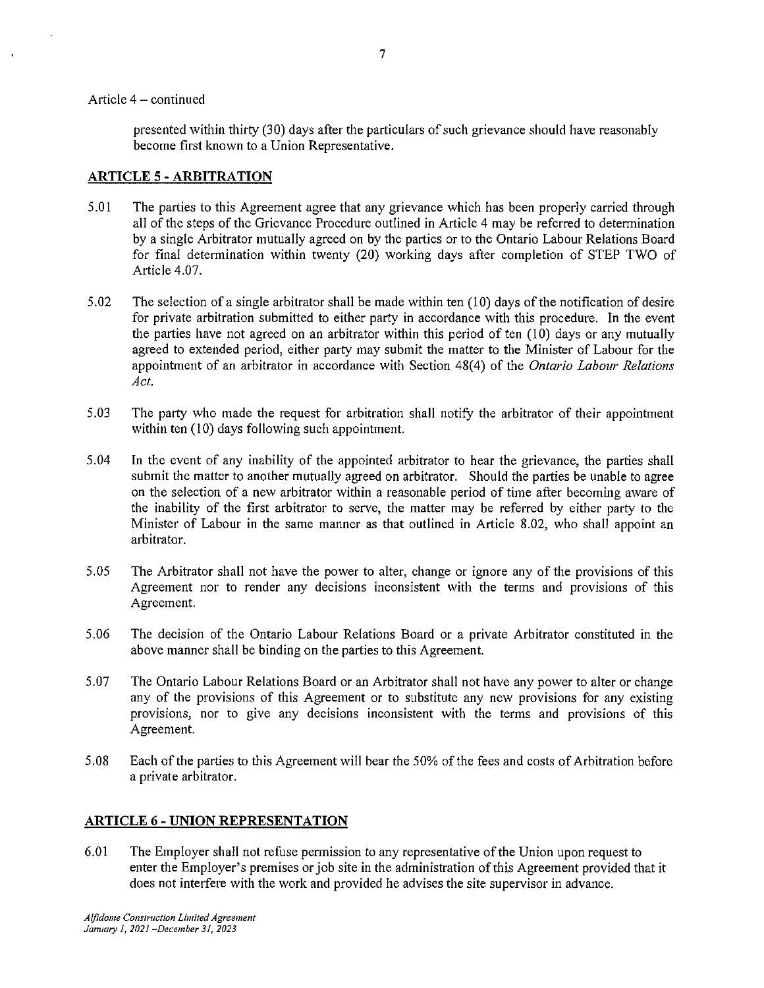#### Article  $4 -$  continued

presented within thirty (30) days after the particulars of such grievance should have reasonably become first known to a Union Representative.

## **ARTICLE 5 -ARBITRATION**

- 5.01 The parties to this Agreement agree that any grievance which has been properly carried through all of the steps of the Grievance Procedure outlined in Article 4 may be referred to determination by a single Arbitrator mutually agreed on by the parties or to the Ontario Labour Relations Board for final determination within twenty (20) working days after completion of STEP TWO of Article 4.07.
- 5.02 The selection of a single arbitrator shall be made within ten (10) days of the notification of desire for private arbitration submitted to either party in accordance with this procedure. In the event the parties have not agreed on an arbitrator within this period of ten (10) days or any mutually agreed to extended period, either party may submit the matter to the Minister of Labour for the appointment of an arbitrator in accordance with Section 48(4) of the *Ontario Labour Relations Act.*
- 5.03 The party who made the request for arbitration shall notify the arbitrator of their appointment within ten (10) days following such appointment.
- 5. 04 In the event of any inability of the appointed arbitrator to hear the grievance, the parties shall submit the matter to another mutually agreed on arbitrator. Should the parties be unable to agree on the selection of a new arbitrator within a reasonable period of time after becoming aware of the inability of the first arbitrator to serve, the matter may be referred by either party to the Minister of Labour in the same manner as that outlined in Article 8.02, who shall appoint an arbitrator.
- 5.05 The Arbitrator shall not have the power to alter, change or ignore any of the provisions of this Agreement nor to render any decisions inconsistent with the terms and provisions of this Agreement.
- 5 .06 The decision of the Ontario Labour Relations Board or a private Arbitrator constituted in the above manner shall be binding on the parties to this Agreement.
- 5.07 The Ontario Labour Relations Board or an Arbitrator shall not have any power to alter or change any of the provisions of this Agreement or to substitute any new provisions for any existing provisions, nor to give any decisions inconsistent with the terms and provisions of this Agreement.
- 5.08 Each of the parties to this Agreement will bear the 50% of the fees and costs of Arbitration before a private arbitrator.

## **ARTICLE** 6 - **UNION REPRESENTATION**

6.01 The Employer shall not refuse permission to any representative of the Union upon request to enter the Employer's premises or job site in the administration of this Agreement provided that it does not interfere with the work and provided he advises the site supervisor in advance.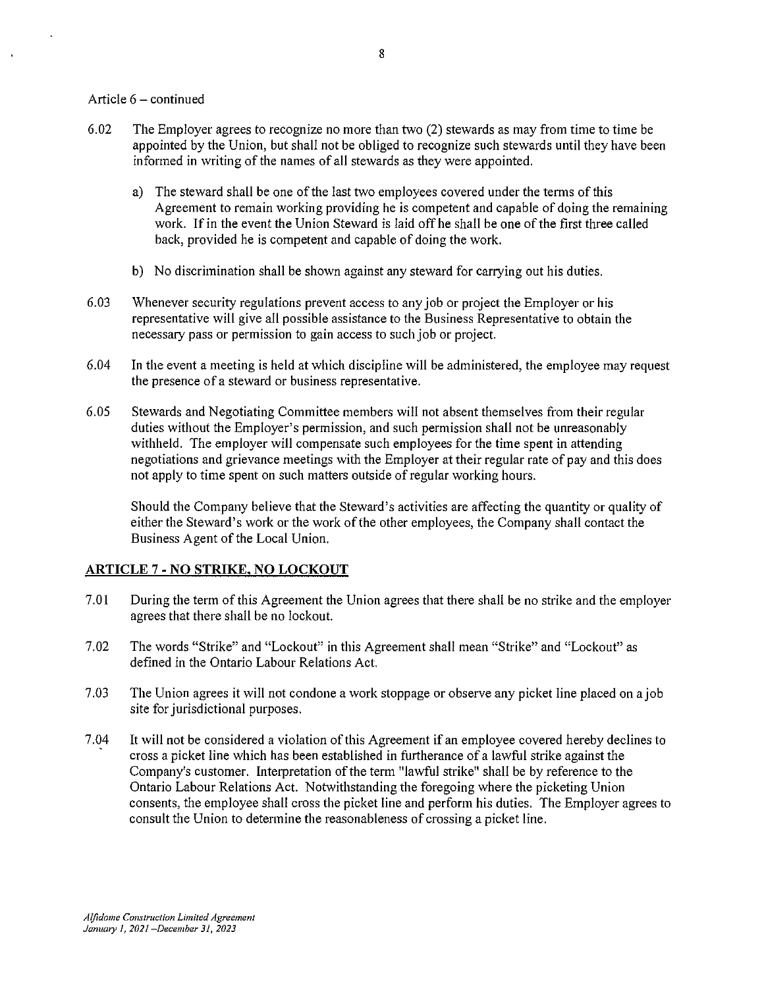### Article  $6 -$  continued

- 6.02 The Employer agrees to recognize no more than two (2) stewards as may from time to time be appointed by the Union, but shall not be obliged to recognize such stewards until they have been informed in writing of the names of all stewards as they were appointed.
	- a) The steward shall be one of the last two employees covered under the terms of this Agreement to remain working providing he is competent and capable of doing the remaining work. If in the event the Union Steward is laid off he shall be one of the first three called back, provided he is competent and capable of doing the work.
	- b) No discrimination shall be shown against any steward for carrying out his duties.
- 6.03 Whenever security regulations prevent access to any job or project the Employer or his representative will give all possible assistance to the Business Representative to obtain the necessary pass or permission to gain access to such job or project.
- 6.04 In the event a meeting is held at which discipline will be administered, the employee may request the presence of a steward or business representative.
- 6.05 Stewards and Negotiating Committee members will not absent themselves from their regular duties without the Employer's permission, and such permission shall not be unreasonably withheld. The employer will compensate such employees for the time spent in attending negotiations and grievance meetings with the Employer at their regular rate of pay and this does not apply to time spent on such matters outside of regular working hours.

Should the Company believe that the Steward's activities are affecting the quantity or quality of either the Steward's work or the work of the other employees, the Company shall contact the Business Agent of the Local Union.

## **ARTICLE** 7 - **NO STRIKE, NO LOCKOUT**

- 7.01 During the term of this Agreement the Union agrees that there shall be no strike and the employer agrees that there shall be no lockout.
- 7.02 The words "Strike" and "Lockout" in this Agreement shall mean "Strike" and "Lockout" as defined in the Ontario Labour Relations Act.
- 7.03 The Union agrees it will not condone a work stoppage or observe any picket line placed on a job site for jurisdictional purposes.
- 7.04 It will not be considered a violation of this Agreement if an employee covered hereby declines to cross a picket line which has been established in furtherance of a lawful strike against the Company's customer. Interpretation of the term "lawful strike" shall be by reference to the Ontario Labour Relations Act. Notwithstanding the foregoing where the picketing Union consents, the employee shall cross the picket line and perform his duties. The Employer agrees to consult the Union to determine the reasonableness of crossing a picket line.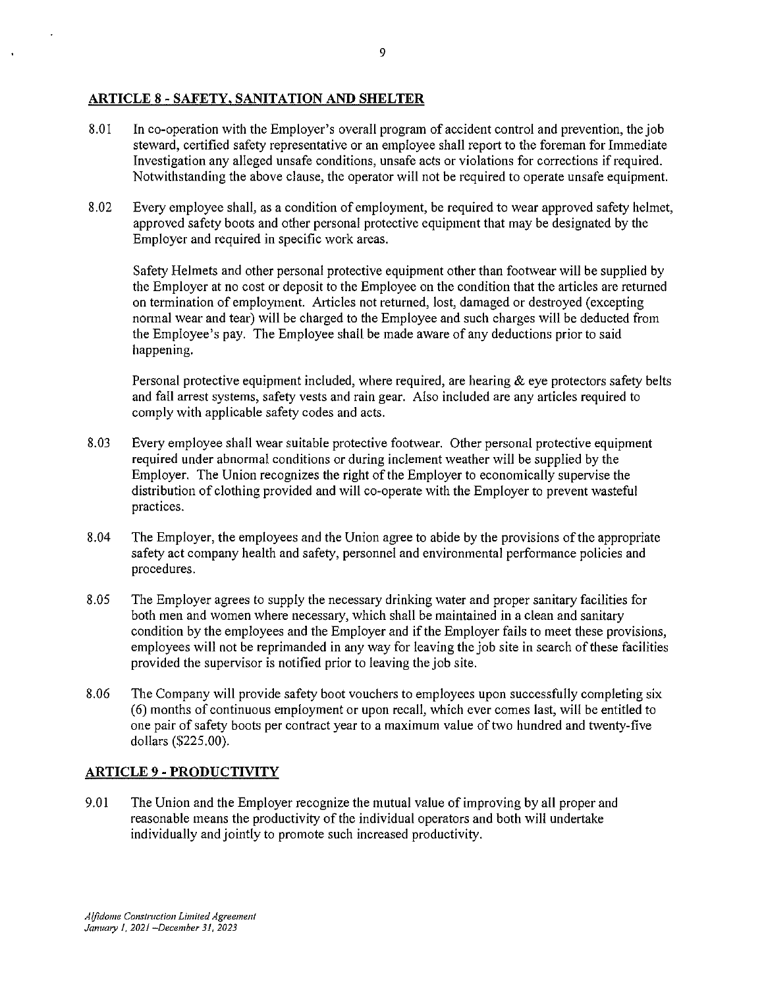## **ARTICLE 8- SAFETY, SANITATION AND SHELTER**

- 8.01 In co-operation with the Employer's overall program of accident control and prevention, the job steward, certified safety representative or an employee shall report to the foreman for Immediate Investigation any alleged unsafe conditions, unsafe acts or violations for corrections if required. Notwithstanding the above clause, the operator will not be required to operate unsafe equipment.
- 8.02 Every employee shall, as a condition of employment, be required to wear approved safety helmet, approved safety boots and other personal protective equipment that may be designated by the Employer and required in specific work areas.

Safety Helmets and other personal protective equipment other than footwear will be supplied by the Employer at no cost or deposit to the Employee on the condition that the articles are returned on termination of employment. Articles not returned, lost, damaged or destroyed (excepting normal wear and tear) will be charged to the Employee and such charges will be deducted from the Employee's pay. The Employee shall be made aware of any deductions prior to said happening.

Personal protective equipment included, where required, are hearing  $\&$  eye protectors safety belts and fall arrest systems, safety vests and rain gear. Also included are any articles required to comply with applicable safety codes and acts.

- 8.03 Every employee shall wear suitable protective footwear. Other personal protective equipment required under abnormal conditions or during inclement weather will be supplied by the Employer. The Union recognizes the right of the Employer to economically supervise the distribution of clothing provided and will co-operate with the Employer to prevent wasteful practices.
- 8.04 The Employer, the employees and the Union agree to abide by the provisions of the appropriate safety act company health and safety, personnel and environmental performance policies and procedures.
- 8.05 The Employer agrees *to* supply the necessary drinking water and proper sanitary facilities for both men and women where necessary, which shall be maintained in a clean and sanitary condition by the employees and the Employer and ifthe Employer fails to meet these provisions, employees will not be reprimanded in any way for leaving the job site in search of these facilities provided the supervisor is notified prior to leaving the job site.
- 8.06 The Company will provide safety boot vouchers to employees upon successfully completing six (6) months of continuous employment or upon recall, which ever comes last, will be entitled to one pair of safety boots per contract year to a maximum value of two hundred and twenty-five dollars (\$225.00).

## **ARTICLE** 9 - **PRODUCTIVITY**

9.01 The Union and the Employer recognize the mutual value of improving by all proper and reasonable means the productivity of the individual operators and both will undertake individually and jointly to promote such increased productivity.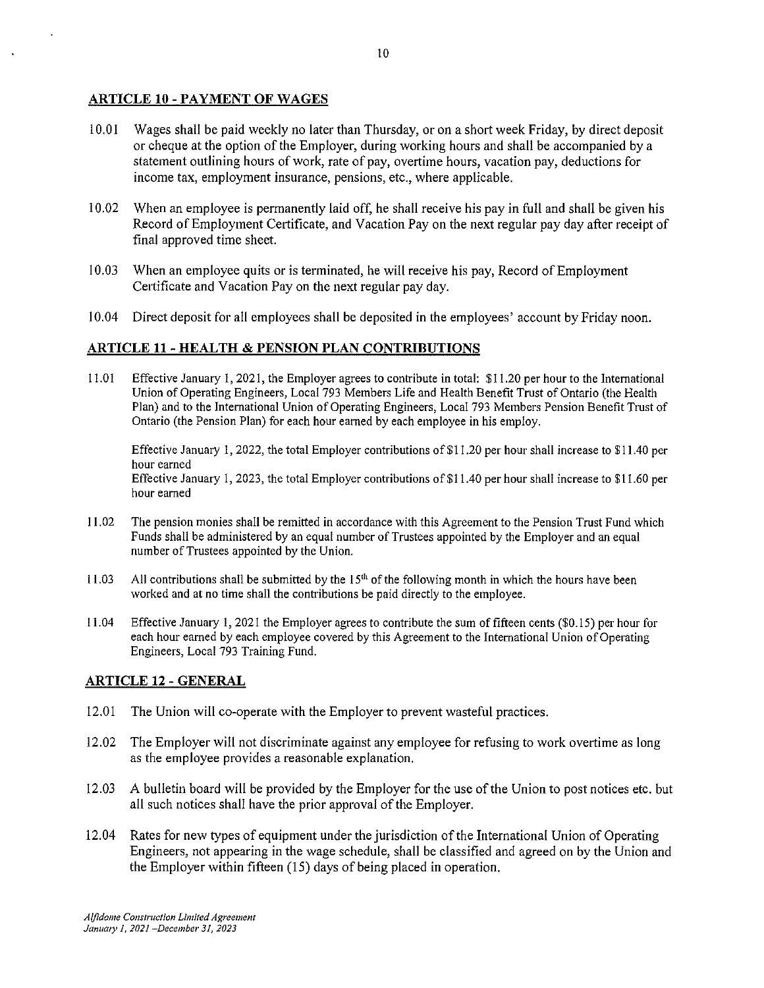## ARTICLE 10 - PAYMENT OF WAGES

- 10.01 Wages shall be paid weekly no later than Thursday, or on a short week Friday, by direct deposit or cheque at the option of the Employer, during working hours and shall be accompanied by a statement outlining hours of work, rate of pay, overtime hours, vacation pay, deductions for income tax, employment insurance, pensions, etc., where applicable.
- 10.02 When an employee is permanently laid off, he shall receive his pay in full and shall be given his Record of Employment Certificate, and Vacation Pay on the next regular pay day after receipt of final approved time sheet.
- 10.03 When an employee quits or is terminated, he will receive his pay, Record of Employment Certificate and Vacation Pay on the next regular pay day.
- 10.04 Direct deposit for all employees shall be deposited in the employees' account by Friday noon.

## ARTICLE 11 - HEALTH & PENSION PLAN CONTRIBUTIONS

11.01 Effective January 1, 2021, the Employer agrees to contribute in total: \$11.20 per hour to the International Union of Operating Engineers, Local 793 Members Life and Health Benefit Trust of Ontario (the Health Plan) and to the International Union of Operating Engineers, Local 793 Members Pension Benefit Trust of Ontario (the Pension Plan) for each hour earned by each employee in his employ.

Effective January 1, 2022, the total Employer contributions of \$11.20 per hour shall increase to \$11.40 per **hour earned**  Effective January I, 2023, the total Employer contributions of \$11.40 per hour shall increase to \$11.60 per hour earned

- 11.02 The pension monies shall be remitted in accordance with this Agreement to the Pension Trust Fund which Funds shall be administered by an equal number of Trustees appointed by the Employer and an equal number of Trustees appointed by the Union.
- 11.03 All contributions shall be submitted by the  $15<sup>th</sup>$  of the following month in which the hours have been worked and at no time shall the contributions be paid directly to the employee.
- 11.04 Effective January 1, 2021 the Employer agrees to contribute the sum of fifteen cents (\$0.15) per hour for each hour earned by each employee covered by this Agreement to the International Union of Operating Engineers, Local 793 Training Fund.

## **ARTICLE 12 - GENERAL**

- 12.01 The Union will co-operate with the Employer to prevent wasteful practices.
- 12.02 The Employer will not discriminate against any employee for refusing to work overtime as long as the employee provides a reasonable explanation.
- 12.03 A bulletin board will be provided by the Employer for the use of the Union to post notices etc. but all such notices shall have the prior approval of the Employer.
- 12. 04 Rates for new types of equipment under the jurisdiction of the International Union of Operating Engineers, not appearing in the wage schedule, shall be classified and agreed on by the Union and the Employer within fifteen (15) days of being placed in operation.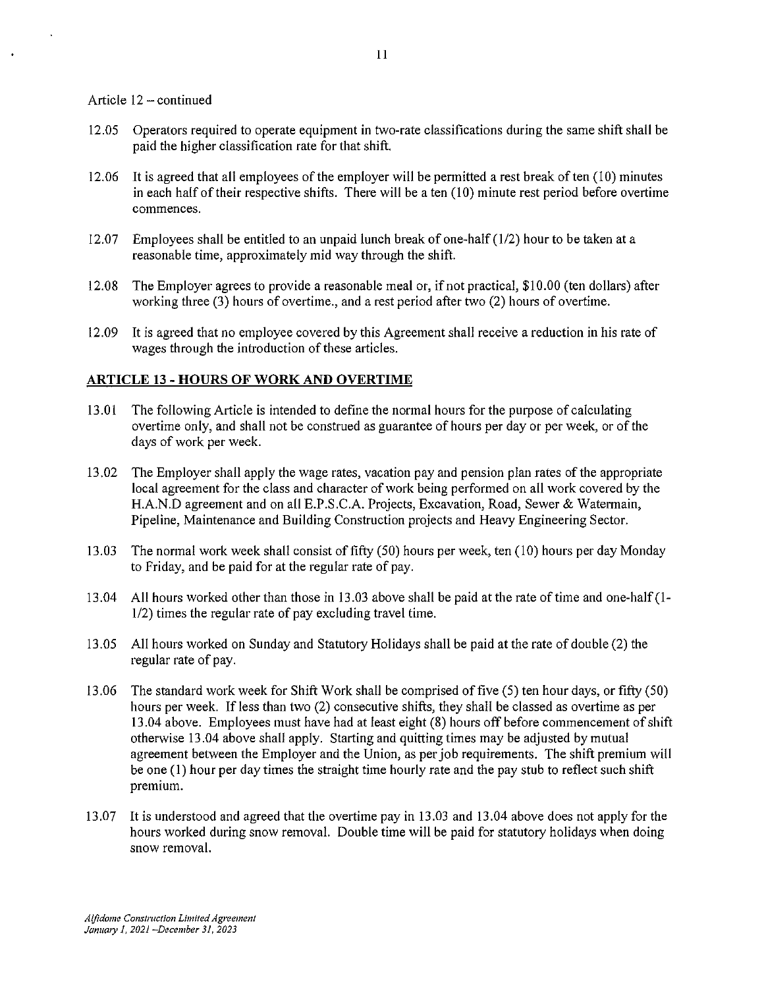#### Article  $12 -$ continued

- 12.05 Operators required to operate equipment in two-rate classifications during the same shift shall be paid the higher classification rate for that shift.
- 12.06 It is agreed that all employees of the employer will be permitted a rest break often (10) minutes in each half of their respective shifts. There will be a ten  $(10)$  minute rest period before overtime **commences.**
- 12.07 Employees shall be entitled to an unpaid lunch break of one-half  $(1/2)$  hour to be taken at a reasonable time, approximately mid way through the shift.
- 12.08 The Employer agrees to provide a reasonable meal or, if not practical, \$10.00 (ten dollars) after working three (3) hours of overtime., and a rest period after two (2) hours of overtime.
- 12.09 It is agreed that no employee covered by this Agreement shall receive a reduction in his rate of wages through the introduction of these articles.

### **ARTICLE 13 - HOURS OF WORK AND OVERTIME**

- 13.01 The following Article is intended to define the normal hours for the purpose of calculating overtime only, and shall not be construed as guarantee of hours per day or per week, or of the days of work per week.
- 13.02 The Employer shall apply the wage rates, vacation pay and pension plan rates of the appropriate local agreement for the class and character of work being performed on all work covered by the H.A.N.D agreement and on all E.P.S.C.A. Projects, Excavation, Road, Sewer & Watermain, Pipeline, Maintenance and Building Construction projects and Heavy Engineering Sector.
- 13.03 The normal work week shall consist of fifty (50) hours per week, ten (10) hours per day Monday to Friday, and be paid for at the regular rate of pay.
- 13.04 All hours worked other than those in 13.03 above shall be paid at the rate of time and one-half(l-1/2) times the regular rate of pay excluding travel time.
- 13.05 All hours worked on Sunday and Statutory Holidays shall be paid at the rate of double (2) the regular rate of pay.
- 13.06 The standard work week for Shift Work shall be comprised of five (5) ten hour days, or fifty (50) hours per week. If less than two (2) consecutive shifts, they shall be classed as overtime as per 13.04 above. Employees must have had at least eight (8) hours off before commencement of shift otherwise 13 .04 above shall apply. Starting and quitting times may be adjusted by mutual agreement between the Employer and the Union, as per job requirements. The shift premium will be one (I) hour per day times the straight time hourly rate and the pay stub to reflect such shift premium.
- 13.07 It is understood and agreed that the overtime pay in 13.03 and 13.04 above does not apply for the hours worked during snow removal. Double time will be paid for statutory holidays when doing snow removal.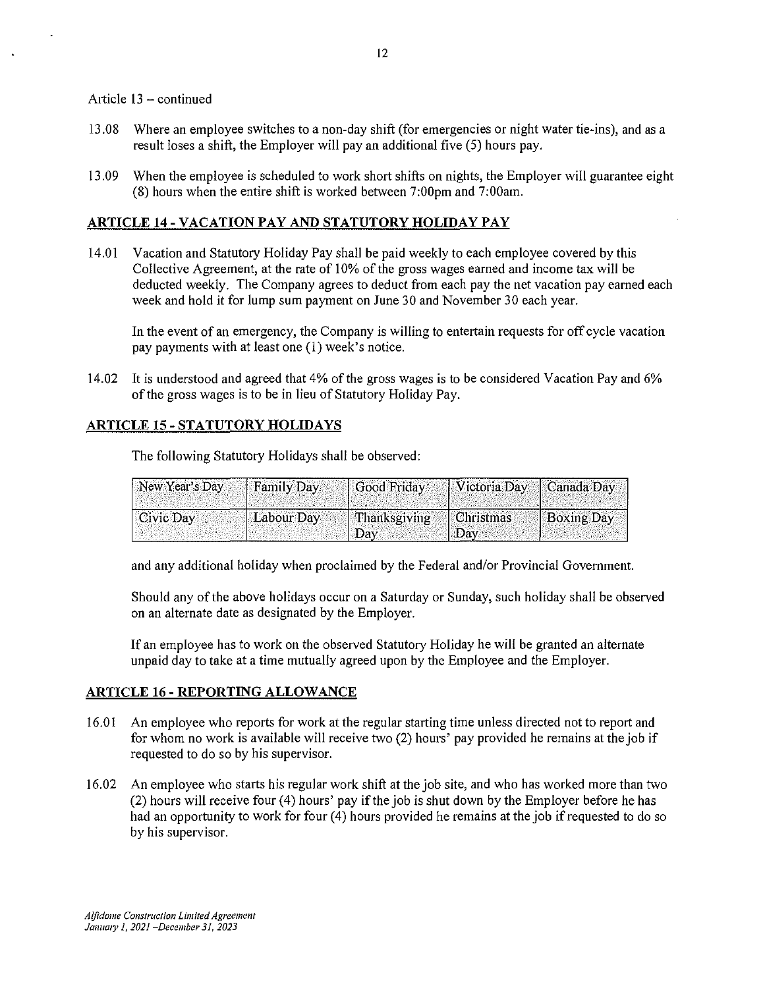## Article  $13 -$  continued

- 13 .08 Where an employee switches to a non-day shift (for emergencies or night water tie-ins), and as a result loses a shift, the Employer will pay an additional five (5) hours pay.
- 13.09 When the employee is scheduled to work short shifts on nights, the Employer will guarantee eight (8) hours when the entire shift is worked between 7:00pm and 7:00am.

## **ARTICLE 14-VACATIONPAY AND STATUTORY HOLIDAY PAY**

14.01 Vacation and Statutory Holiday Pay shall be paid weekly to each employee covered by this Collective Agreement, at the rate of 10% of the gross wages earned and income tax will be deducted weekly. The Company agrees to deduct from each pay the net vacation pay earned each week and hold it for lump sum payment on June 30 and November 30 each year.

In the event of an emergency, the Company is willing to entertain requests for off cycle vacation pay payments with at least one (1) week's notice.

14.02 It is understood and agreed that 4% of the gross wages is to be considered Vacation Pay and 6% of the gross wages is to be in lieu of Statutory Holiday Pay.

## **ARTICLE 15- STATUTORY HOLIDAYS**

The following Statutory Holidays shall be observed:

| $\vert$ New Year's Day $\vert$ Family Day |            | Good Friday   Victoria Day   Canada Day |                  |                   |
|-------------------------------------------|------------|-----------------------------------------|------------------|-------------------|
| Civic Day                                 | Labour Day | Thanksgiving<br>$"$ Day                 | Christmas<br>Day | <b>Boxing Day</b> |

and any additional holiday when proclaimed by the Federal and/or Provincial Government.

Should any of the above holidays occur on a Saturday or Sunday, such holiday shall be observed on an alternate date as designated by the Employer.

If an employee has to work on the observed Statutory Holiday he will be granted an alternate unpaid day to take at a time mutually agreed upon by the Employee and the Employer.

## **ARTICLE 16 - REPORTING ALLOWANCE**

- 16.01 An employee who reports for work at the regular starting time unless directed not to report and for whom no work is available will receive two (2) hours' pay provided he remains at the job if requested to do so by his supervisor.
- 16.02 An employee who starts his regular work shift at the job site, and who has worked more than two  $(2)$  hours will receive four  $(4)$  hours' pay if the job is shut down by the Employer before he has had an opportunity to work for four (4) hours provided he remains at the job if requested to do so by his supervisor.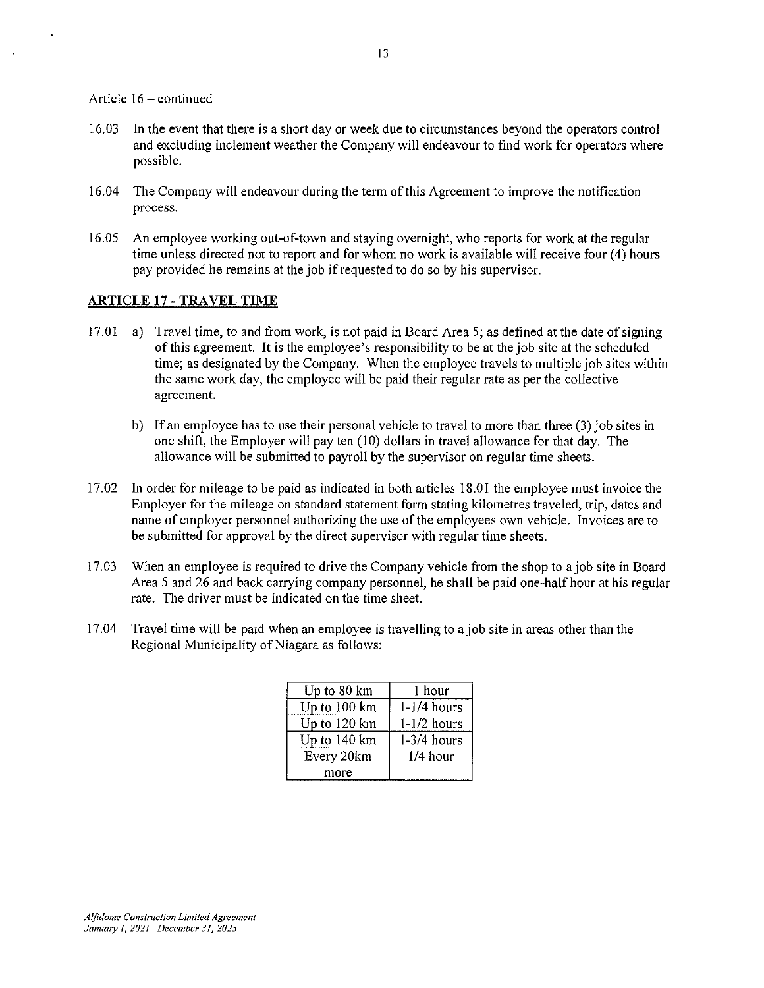Article 16 - continued

- 16.03 In the event that there is a short day or week due to circumstances beyond the operators control and excluding inclement weather the Company will endeavour to find work for operators where possible.
- 16.04 The Company will endeavour during the term of this Agreement to improve the notification process.
- 16.05 An employee working out-of-town and staying overnight, who reports for work at the regular time unless directed not to report and for whom no work is available will receive four  $(4)$  hours pay provided he remains at the job if requested to do so by his supervisor.

## **ARTICLE 17 - TRAVEL TIME**

- 17.01 a) Travel time, to and from work, is not paid in Board Area 5; as defined at the date of signing of this agreement. It is the employee's responsibility to be at the job site at the scheduled time; as designated by the Company. When the employee travels to multiple job sites within the same work day, the employee will be paid their regular rate as per the collective agreement.
	- b) If an employee has to use their personal vehicle to travel to more than three (3) job sites in one shift, the Employer will pay ten  $(10)$  dollars in travel allowance for that day. The allowance will be submitted to payroll by the supervisor on regular time sheets.
- 17.02 In order for mileage to be paid as indicated in both articles 18.0I the employee must invoice the Employer for the mileage on standard statement form stating kilometres traveled, trip, dates and name of employer personnel authorizing the use of the employees own vehicle. Invoices are to be submitted for approval by the direct supervisor with regular time sheets.
- 17.03 When an employee is required to drive the Company vehicle from the shop to a job site in Board Area 5 and 26 and back carrying company personnel, he shall be paid one-half hour at his regular rate. The driver must be indicated on the time sheet.
- 17.04 Travel time will be paid when an employee is travelling to a job site in areas other than the Regional Municipality of Niagara as follows:

| Up to 80 km  | 1 hour        |
|--------------|---------------|
| Up to 100 km | $1-1/4$ hours |
| Up to 120 km | $1-1/2$ hours |
| Up to 140 km | $1-3/4$ hours |
| Every 20km   | $1/4$ hour    |
| more         |               |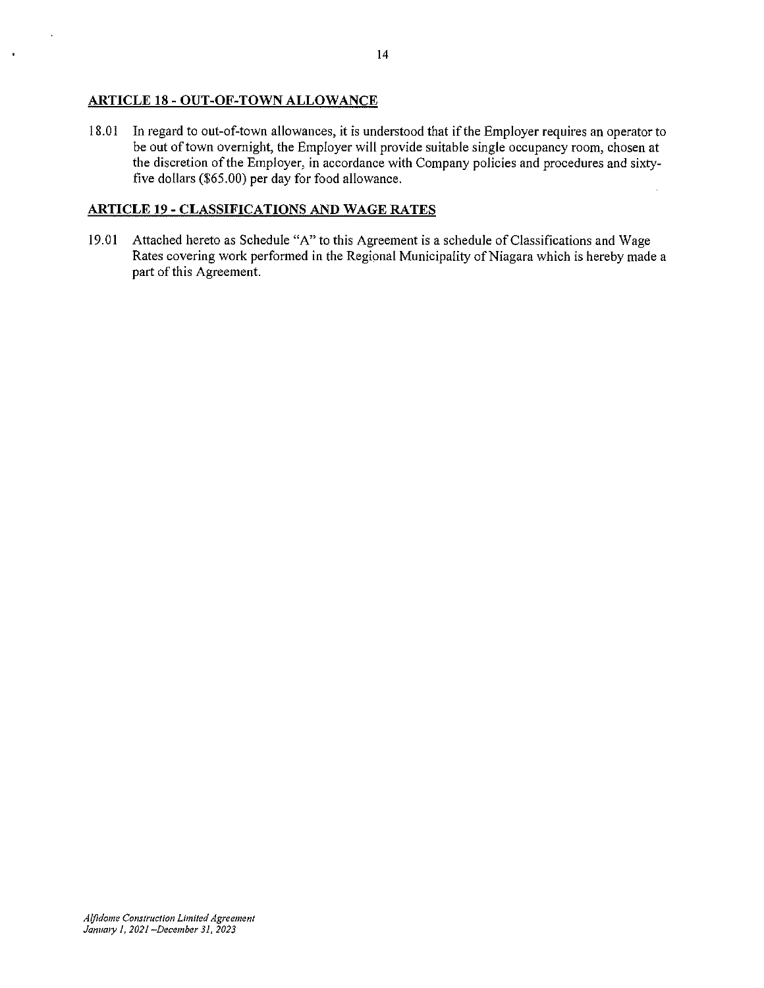## **ARTICLE 18- OUT-OF-TOWN ALLOWANCE**

18.01 In regard to out-of-town allowances, it is understood that ifthe Employer requires an operator to be out of town overnight, the Employer will provide suitable single occupancy room, chosen at the discretion of the Employer, in accordance with Company policies and procedures and sixtyfive dollars (\$65.00) per day for food allowance.

## **ARTICLE 19- CLASSIFICATIONS AND WAGE RATES**

19. 01 Attached hereto as Schedule "A" to this Agreement is a schedule of Classifications and Wage Rates covering work performed in the Regional Municipality of Niagara which is hereby made a part of this Agreement.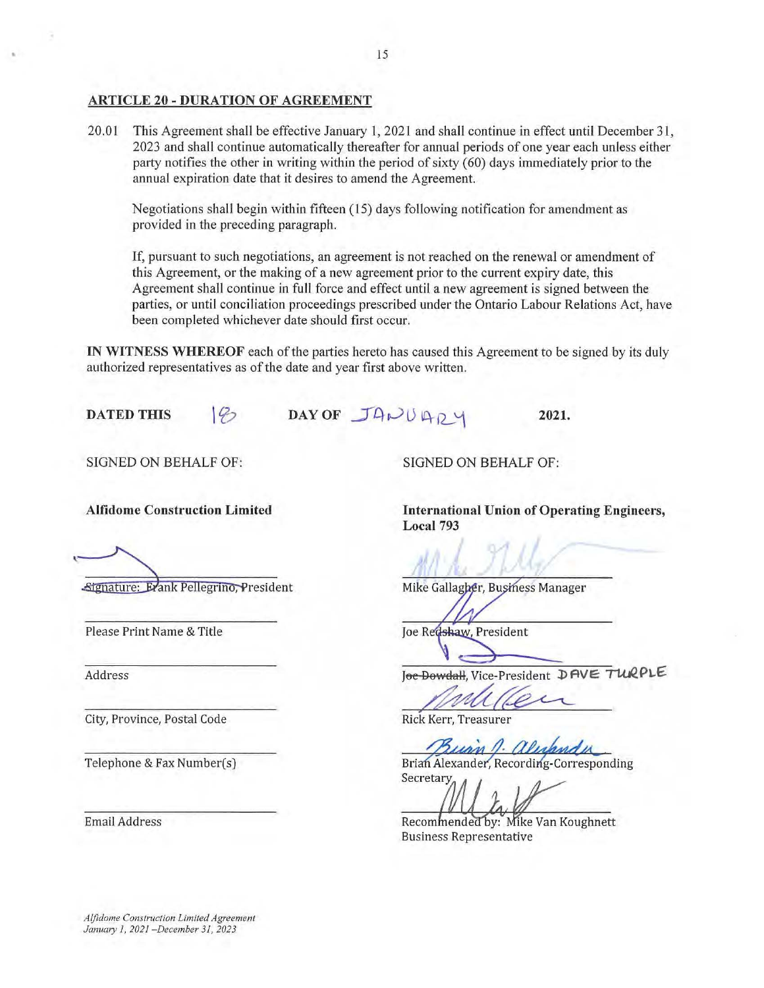## ARTICLE 20 - DURATION OF AGREEMENT

20.0l This Agreement shall be effective January 1, 2021 and shall continue in effect until December 31, 2023 and shall continue automatically thereafter for annual periods of one year each unless either party notifies the other in writing within the period of sixty (60) days immediately prior to the annual expiration date that it desires to amend the Agreement.

Negotiations shall begin within fifteen ( 15) days following notification for amendment as provided in the preceding paragraph.

If, pursuant to such negotiations, an agreement is not reached on the renewal or amendment of this Agreement, or the making of a new agreement prior to the current expiry date, this Agreement shall continue in full force and effect until a new agreement is signed between the parties, or until conciliation proceedings prescribed under the Ontario Labour Relations Act, have been completed whichever date should first occur.

IN WITNESS WHEREOF each of the parties hereto has caused this Agreement to be signed by its duly authorized representatives as of the date and year first above written.

DAY OF JANUARY DATED THIS  $\ket{\varphi}$ 

SIGNED ON BEHALF OF:

Alfidome Construction Limited

Signature: Evank Pellegrino, President

Please Print Name & Title

Address

City, Province, Postal Code

Telephone & Fax Number(s)

Email Address

SIGNED ON BEHALF OF:

International Union of Operating Engineers, Local 793

2021.

Mike Gallagher, Business Manager

Joe Redshaw, President

J<del>oe Dowdall</del>, Vice-President DAVE TURPLE The Dowdall, Vice-President DAVE TURPING

Suan A. alex

Brian Alexander, Recording-Corresponding Secretary

Recommended by: Mike Van Koughnett **Business Representative** 

*Aljidome Construction Limited Agreement January 1, 2021 -December 31, 2023*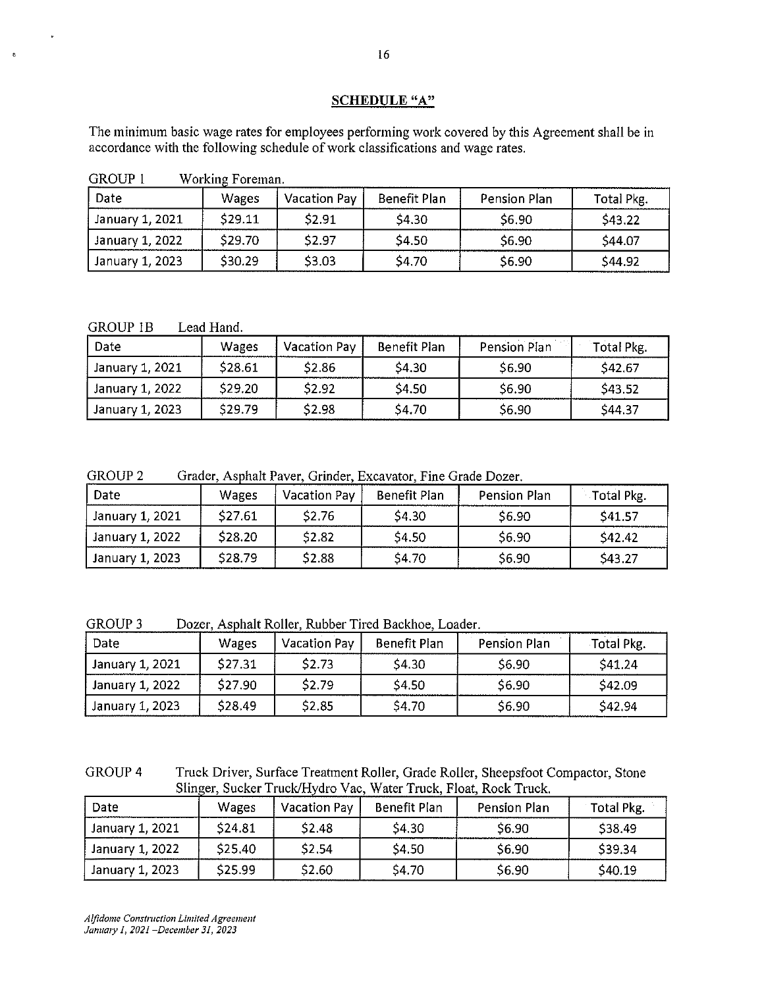## **SCHEDULE** "A"

The minimum basic wage rates for employees performing work covered by this Agreement shall be in accordance with the following schedule of work classifications and wage rates.

| <b>GROUP 1</b> | Working Foreman. |
|----------------|------------------|
|----------------|------------------|

| Date            | Wages   | Vacation Pay | Benefit Plan | Pension Plan | Total Pkg. |
|-----------------|---------|--------------|--------------|--------------|------------|
| January 1, 2021 | S29.11  | \$2.91       | \$4.30       | S6.90        | S43.22     |
| January 1, 2022 | \$29.70 | \$2.97       | \$4.50       | S6.90        | S44.07     |
| January 1, 2023 | S30.29  | \$3.03       | \$4.70       | S6.90        | S44.92     |

GROUP 1B Lead Hand.

 $\mathbf{g}$ 

| Date            | <b>Wages</b> | Vacation Pay | Benefit Plan | Pension Plan | Total Pkg. |
|-----------------|--------------|--------------|--------------|--------------|------------|
| January 1, 2021 | \$28.61      | \$2.86       | \$4.30       | S6.90        | \$42,67    |
| January 1, 2022 | \$29.20      | \$2.92       | \$4.50       | \$6.90       | \$43.52    |
| January 1, 2023 | \$29.79      | \$2.98       | \$4.70       | \$6.90       | \$44.37    |

GROUP 2 Grader, Asphalt Paver, Grinder, Excavator, Fine Grade Dozer.

| Date            | <b>Wages</b>       | <b>Vacation Pay</b> | Benefit Plan | Pension Plan | Total Pkg. |
|-----------------|--------------------|---------------------|--------------|--------------|------------|
| January 1, 2021 | \$27.61            | \$2.76              | \$4.30       | \$6.90       | \$41.57    |
| January 1, 2022 | \$28.20            | \$2.82              | \$4.50       | \$6.90       | \$42.42    |
| January 1, 2023 | S <sub>28.79</sub> | \$2.88              | \$4.70       | \$6.90       | \$43.27    |

GROUP 3 Dozer, Asphalt Roller, Rubber Tired Backhoe, Loader.

| Date            | Wages   | <b>Vacation Pay</b> | Benefit Plan | Pension Plan | Total Pkg. |
|-----------------|---------|---------------------|--------------|--------------|------------|
| January 1, 2021 | \$27.31 | \$2.73              | \$4.30       | \$6.90       | \$41.24    |
| January 1, 2022 | \$27.90 | \$2.79              | \$4.50       | \$6.90       | \$42.09    |
| January 1, 2023 | \$28.49 | \$2.85              | \$4.70       | \$6.90       | \$42.94    |

GROUP4 Truck Driver, Surface Treatment Roller, Grade Roller, Sheepsfoot Compactor, Stone Slinger, Sucker Truck/Hydro Vac, Water Truck, Float, Rock Truck.

| Date            | Wages   | <b>Vacation Pay</b> | Benefit Plan | <b>Pension Plan</b> | Total Pkg. |
|-----------------|---------|---------------------|--------------|---------------------|------------|
| January 1, 2021 | \$24.81 | <b>S2.48</b>        | \$4.30       | \$6.90              | \$38.49    |
| January 1, 2022 | \$25,40 | \$2,54              | \$4.50       | \$6.90              | \$39.34    |
| January 1, 2023 | \$25.99 | \$2.60              | \$4.70       | \$6.90              | \$40.19    |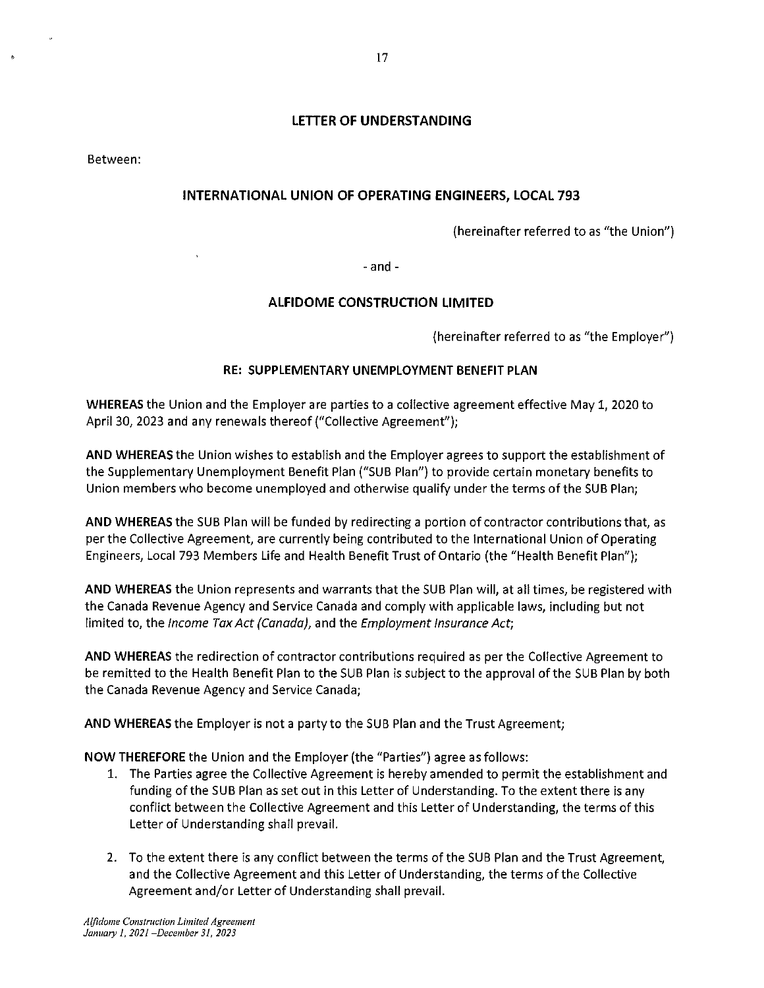## **LETTER OF UNDERSTANDING**

Between:

## **INTERNATIONAL UNION OF OPERATING ENGINEERS, LOCAL 793**

(hereinafter referred to as "the Union")

- and -

## **ALFIDOME CONSTRUCTION LIMITED**

(hereinafter referred to as "the Employer")

### **RE: SUPPLEMENTARY UNEMPLOYMENT BENEFIT PLAN**

**WHEREAS** the Union and the Employer are parties to a collective agreement effective May 1, 2020 to April 30, 2023 and any renewals thereof ("Collective Agreement");

**AND WHEREAS** the Union wishes to establish and the Employer agrees to support the establishment of the Supplementary Unemployment Benefit Plan ("SUB Plan") to provide certain monetary benefits to Union members who become unemployed and otherwise qualify under the terms of the SUB Plan;

**AND WHEREAS** the SUB Plan will be funded by redirecting a portion of contractor contributions that, as per the Collective Agreement, are currently being contributed to the International Union of Operating Engineers, Local 793 Members Life and Health Benefit Trust of Ontario (the "Health Benefit Plan");

**AND WHEREAS** the Union represents and warrants that the SUB Plan will, at all times, be registered with the Canada Revenue Agency and Service Canada and comply with applicable laws, including but not limited to, the *Income Tax Act (Canada)*, and the *Employment Insurance Act*;

**AND WHEREAS** the redirection of contractor contributions required as per the Collective Agreement to be remitted to the Health Benefit Plan to the SUB Plan is subject to the approval of the SUB Plan by both the Canada Revenue Agency and Service Canada;

**AND WHEREAS** the Employer is not a party to the SUB Plan and the Trust Agreement;

**NOW THEREFORE** the Union and the Employer (the "Parties") agree as follows:

- 1. The Parties agree the Collective Agreement is hereby amended to permit the establishment and funding of the SUB Plan as set out in this Letter of Understanding. To the extent there is any conflict between the Collective Agreement and this Letter of Understanding, the terms of this Letter of Understanding shall prevail.
- 2. To the extent there is any conflict between the terms of the SUB Plan and the Trust Agreement, and the Collective Agreement and this Letter of Understanding, the terms of the Collective Agreement and/or Letter of Understanding shall prevail.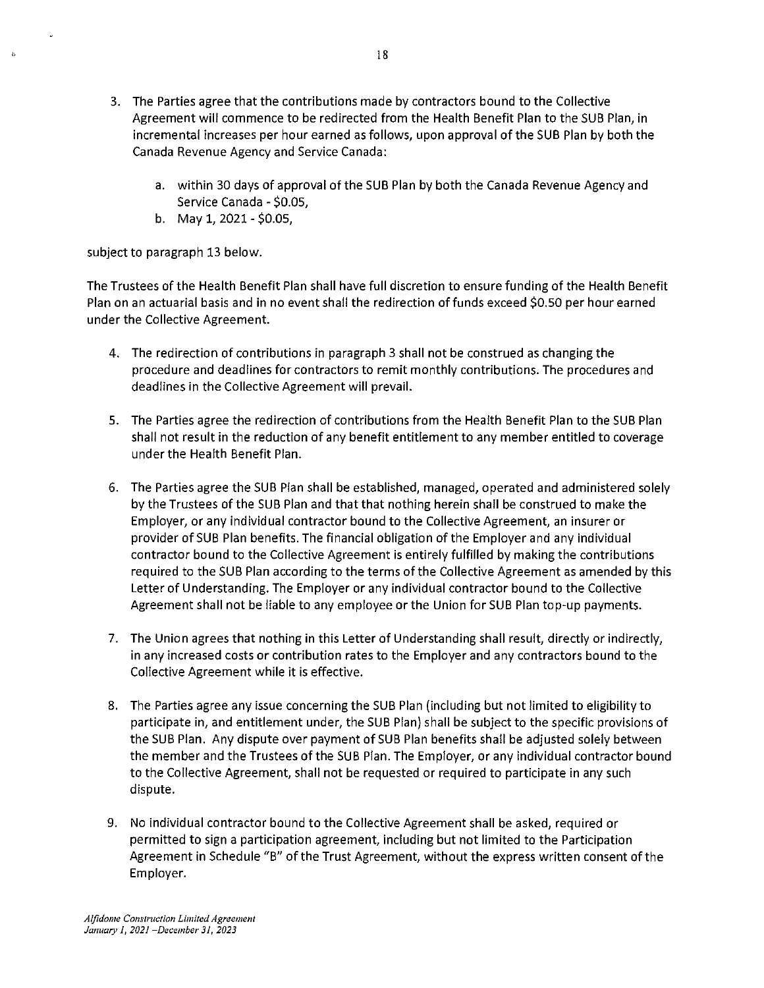- 3. The Parties agree that the contributions made by contractors bound to the Collective Agreement will commence to be redirected from the Health Benefit Plan to the SUB Plan, in incremental increases per hour earned as follows, upon approval of the SUB Plan by both the Canada Revenue Agency and Service Canada:
	- a. within 30 days of approval of the SUB Plan by both the Canada Revenue Agency and Service Canada - \$0.05,
	- b. May 1, 2021 \$0.05,

subject to paragraph 13 below.

 $\mathbf{r}$ 

The Trustees of the Health Benefit Plan shall have full discretion to ensure funding of the Health Benefit Plan on an actuarial basis and in no event shall the redirection of funds exceed \$0.50 per hour earned under the Collective Agreement.

- 4. The redirection of contributions in paragraph 3 shall not be construed as changing the procedure and deadlines for contractors to remit monthly contributions. The procedures and deadlines in the Collective Agreement will prevail.
- 5. The Parties agree the redirection of contributions from the Health Benefit Plan to the SUB Plan shall not result in the reduction of any benefit entitlement to any member entitled to coverage under the Health Benefit Plan.
- 6. The Parties agree the SUB Plan shall be established, managed, operated and administered solely by the Trustees of the SUB Plan and that that nothing herein shall be construed to make the Employer, or any individual contractor bound to the Collective Agreement, an insurer or provider of SUB Plan benefits. The financial obligation of the Employer and any individual contractor bound to the Collective Agreement is entirely fulfilled by making the contributions required to the SUB Plan according to the terms of the Collective Agreement as amended by this Letter of Understanding. The Employer or any individual contractor bound to the Collective Agreement shall not be liable to any employee or the Union for SUB Plan top-up payments.
- 7. The Union agrees that nothing in this Letter of Understanding shall result, directly or indirectly, in any increased costs or contribution rates to the Employer and any contractors bound to the Collective Agreement while it is effective.
- 8. The Parties agree any issue concerning the SUB Plan (including but not limited to eligibility to participate in, and entitlement under, the SUB Plan) shall be subject to the specific provisions of the SUB Plan. Any dispute over payment of SUB Plan benefits shall be adjusted solely between the member and the Trustees of the SUB Plan. The Employer, or any individual contractor bound to the Collective Agreement, shall not be requested or required to participate in any such dispute.
- 9. No individual contractor bound to the Collective Agreement shall be asked, required or permitted to sign a participation agreement, including but not limited to the Participation Agreement in Schedule "B" of the Trust Agreement, without the express written consent of the Employer.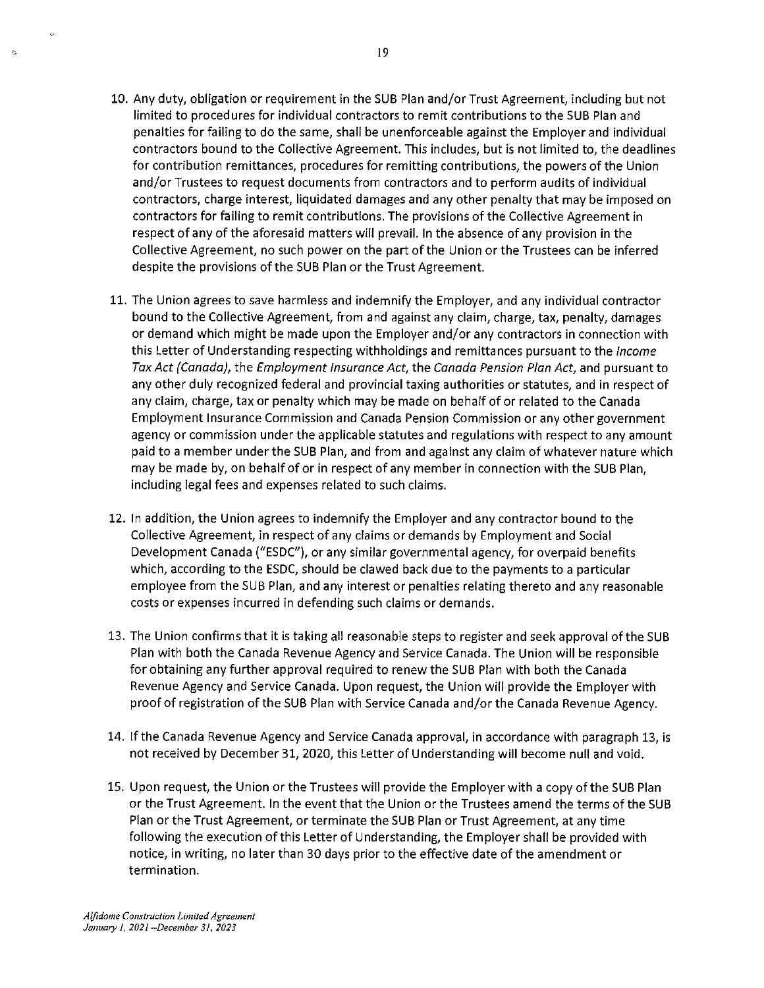- 10. Any duty, obligation or requirement in the SUB Plan and/or Trust Agreement, including but not limited to procedures for individual contractors to remit contributions to the SUB Plan and penalties for failing to do the same, shall be unenforceable against the Employer and individual contractors bound to the Collective Agreement. This includes, but is not limited to, the deadlines for contribution remittances, procedures for remitting contributions, the powers of the Union and/or Trustees to request documents from contractors and to perform audits of individual contractors, charge interest, liquidated damages and any other penalty that may be imposed on contractors for failing to remit contributions. The provisions of the Collective Agreement in respect of any of the aforesaid matters will prevail. In the absence of any provision in the Collective Agreement, no such power on the part of the Union or the Trustees can be inferred despite the provisions of the SUB Plan or the Trust Agreement.
- 11. The Union agrees to save harmless and indemnify the Employer, and any individual contractor bound to the Collective Agreement, from and against any claim, charge, tax, penalty, damages or demand which might be made upon the Employer and/or any contractors in connection with this Letter of Understanding respecting withholdings and remittances pursuant to the Income Tax Act {Canada), the Employment Insurance Act, the Canada Pension Plan Act, and pursuant to any other duly recognized federal and provincial taxing authorities or statutes, and in respect of any claim, charge, tax or penalty which may be made on behalf of or related to the Canada Employment Insurance Commission and Canada Pension Commission or any other government agency or commission under the applicable statutes and regulations with respect to any amount paid to a member under the SUB Plan, and from and against any claim of whatever nature which may be made by, on behalf of or in respect of any member in connection with the SUB Plan, including legal fees and expenses related to such claims.
- 12. In addition, the Union agrees to indemnify the Employer and any contractor bound to the Collective Agreement, in respect of any claims or demands by Employment and Social Development Canada ("ESDC"), or any similar governmental agency, for overpaid benefits which, according to the ESDC, should be clawed back due to the payments to a particular employee from the SUB Plan, and any interest or penalties relating thereto and any reasonable costs or expenses incurred in defending such claims or demands.
- 13. The Union confirms that it is taking all reasonable steps to register and seek approval of the SUB Plan with both the Canada Revenue Agency and Service Canada. The Union will be responsible for obtaining any further approval required to renew the SUB Plan with both the Canada Revenue Agency and Service Canada. Upon request, the Union will provide the Employer with proof of registration of the SUB Plan with Service Canada and/or the Canada Revenue Agency.
- 14. If the Canada Revenue Agency and Service Canada approval, in accordance with paragraph 13, is not received by December 31, 2020, this Letter of Understanding will become null and void.
- 15. Upon request, the Union or the Trustees will provide the Employer with a copy of the SUB Plan or the Trust Agreement. In the event that the Union or the Trustees amend the terms of the SUB Plan or the Trust Agreement, or terminate the SUB Plan or Trust Agreement, at any time following the execution of this Letter of Understanding, the Employer shall be provided with notice, in writing, no later than 30 days prior to the effective date of the amendment or termination.

**Alfidome Construction Limited Agreement** *January* **J,** *2021-December 31, 2023* 

 $\epsilon$ 

b.